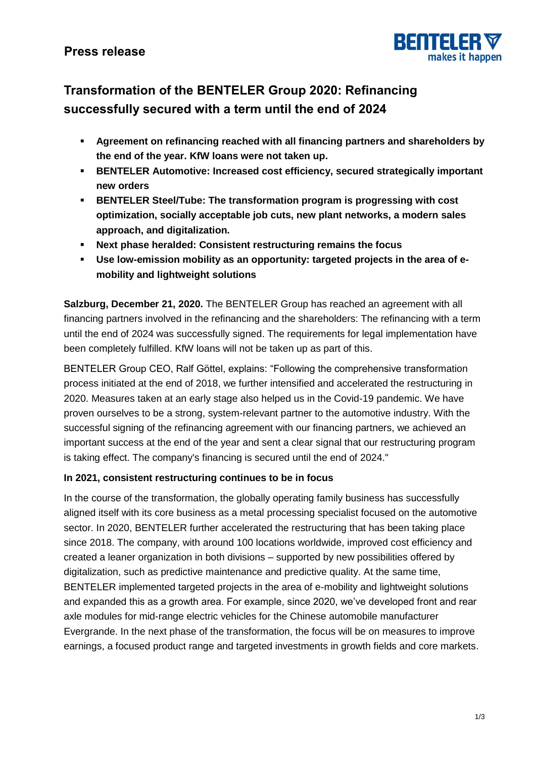

# **Transformation of the BENTELER Group 2020: Refinancing successfully secured with a term until the end of 2024**

- **Agreement on refinancing reached with all financing partners and shareholders by the end of the year. KfW loans were not taken up.**
- **BENTELER Automotive: Increased cost efficiency, secured strategically important new orders**
- **BENTELER Steel/Tube: The transformation program is progressing with cost optimization, socially acceptable job cuts, new plant networks, a modern sales approach, and digitalization.**
- **Next phase heralded: Consistent restructuring remains the focus**
- **Use low-emission mobility as an opportunity: targeted projects in the area of emobility and lightweight solutions**

**Salzburg, December 21, 2020.** The BENTELER Group has reached an agreement with all financing partners involved in the refinancing and the shareholders: The refinancing with a term until the end of 2024 was successfully signed. The requirements for legal implementation have been completely fulfilled. KfW loans will not be taken up as part of this.

BENTELER Group CEO, Ralf Göttel, explains: "Following the comprehensive transformation process initiated at the end of 2018, we further intensified and accelerated the restructuring in 2020. Measures taken at an early stage also helped us in the Covid-19 pandemic. We have proven ourselves to be a strong, system-relevant partner to the automotive industry. With the successful signing of the refinancing agreement with our financing partners, we achieved an important success at the end of the year and sent a clear signal that our restructuring program is taking effect. The company's financing is secured until the end of 2024."

### **In 2021, consistent restructuring continues to be in focus**

In the course of the transformation, the globally operating family business has successfully aligned itself with its core business as a metal processing specialist focused on the automotive sector. In 2020, BENTELER further accelerated the restructuring that has been taking place since 2018. The company, with around 100 locations worldwide, improved cost efficiency and created a leaner organization in both divisions – supported by new possibilities offered by digitalization, such as predictive maintenance and predictive quality. At the same time, BENTELER implemented targeted projects in the area of e-mobility and lightweight solutions and expanded this as a growth area. For example, since 2020, we've developed front and rear axle modules for mid-range electric vehicles for the Chinese automobile manufacturer Evergrande. In the next phase of the transformation, the focus will be on measures to improve earnings, a focused product range and targeted investments in growth fields and core markets.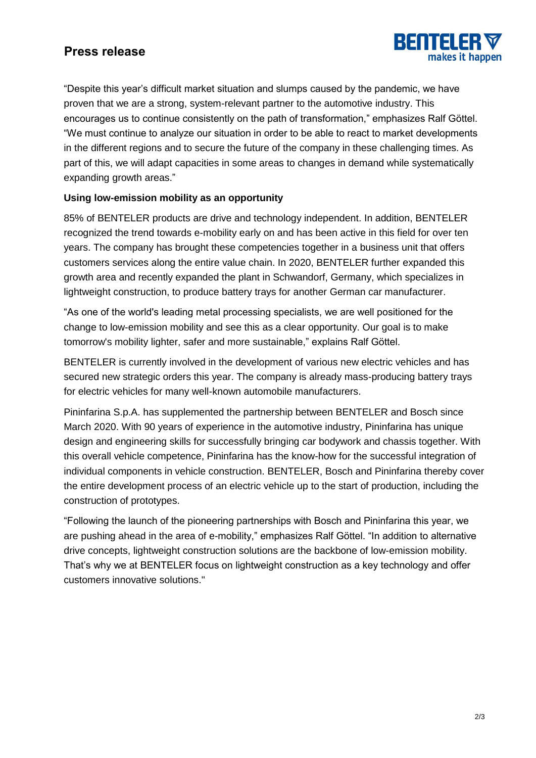# **Press release**



"Despite this year's difficult market situation and slumps caused by the pandemic, we have proven that we are a strong, system-relevant partner to the automotive industry. This encourages us to continue consistently on the path of transformation," emphasizes Ralf Göttel. "We must continue to analyze our situation in order to be able to react to market developments in the different regions and to secure the future of the company in these challenging times. As part of this, we will adapt capacities in some areas to changes in demand while systematically expanding growth areas."

### **Using low-emission mobility as an opportunity**

85% of BENTELER products are drive and technology independent. In addition, BENTELER recognized the trend towards e-mobility early on and has been active in this field for over ten years. The company has brought these competencies together in a business unit that offers customers services along the entire value chain. In 2020, BENTELER further expanded this growth area and recently expanded the plant in Schwandorf, Germany, which specializes in lightweight construction, to produce battery trays for another German car manufacturer.

"As one of the world's leading metal processing specialists, we are well positioned for the change to low-emission mobility and see this as a clear opportunity. Our goal is to make tomorrow's mobility lighter, safer and more sustainable," explains Ralf Göttel.

BENTELER is currently involved in the development of various new electric vehicles and has secured new strategic orders this year. The company is already mass-producing battery trays for electric vehicles for many well-known automobile manufacturers.

Pininfarina S.p.A. has supplemented the partnership between BENTELER and Bosch since March 2020. With 90 years of experience in the automotive industry, Pininfarina has unique design and engineering skills for successfully bringing car bodywork and chassis together. With this overall vehicle competence, Pininfarina has the know-how for the successful integration of individual components in vehicle construction. BENTELER, Bosch and Pininfarina thereby cover the entire development process of an electric vehicle up to the start of production, including the construction of prototypes.

"Following the launch of the pioneering partnerships with Bosch and Pininfarina this year, we are pushing ahead in the area of e-mobility," emphasizes Ralf Göttel. "In addition to alternative drive concepts, lightweight construction solutions are the backbone of low-emission mobility. That's why we at BENTELER focus on lightweight construction as a key technology and offer customers innovative solutions."